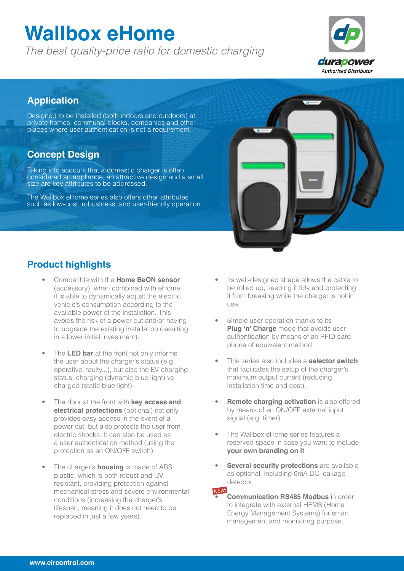# **Wallbox eHome**

*The best quality-price ratio for domestic charging*



### **Application**

Designed to be installed (both indoors and outdoors) at private homes, communal blocks, companies and other places where user authentication is not a requirement.

### **Concept Design**

Taking into account that a domestic charger is often considered an appliance, an attractive design and a small size are key attributes to be addressed.

The Wallbox eHome series also offers other attributes such as low-cost, robustness, and user-friendly operation.

### **Product highlights**

- Compatible with the **Home BeON sensor** (accessory), when combined with eHome, it is able to dynamically adjust the electric vehicle's consumption according to the available power of the installation. This avoids the risk of a power cut and/or having to upgrade the existing installation (resulting in a lower initial investment).
- The **LED bar** at the front not only informs the user about the charger's status (e.g. operative, faulty...), but also the EV charging status: charging (dynamic blue light) vs charged (static blue light).
- The door at the front with **key access and electrical protections** (optional) not only provides easy access in the event of a power cut, but also protects the user from electric shocks. It can also be used as a user authentication method (using the protection as an ON/OFF switch).
- The charger's **housing** is made of ABS plastic, which is both robust and UV resistant, providing protection against mechanical stress and severe environmental conditions (increasing the charger's lifespan, meaning it does not need to be replaced in just a few years).
- Its well-designed shape allows the cable to be rolled up, keeping it tidy and protecting it from breaking while the charger is not in use.
- Simple user operation thanks to its **Plug 'n' Charge** mode that avoids user authentication by means of an RFID card, phone of equivalent method.
- This series also includes a **selector switch** that facilitates the setup of the charger's maximum output current (reducing installation time and cost).
- **Remote charging activation** is also offered by means of an ON/OFF external input signal (e.g. timer).
- The Wallbox eHome series features a reserved space in case you want to include **your own branding on it**.
- **Several security protections** are available as optional, including 6mA DC leakage detector.
- **Communication RS485 Modbus** in order to integrate with external HEMS (Home Energy Management Systems) for smart management and monitoring purpose. *NEW:*